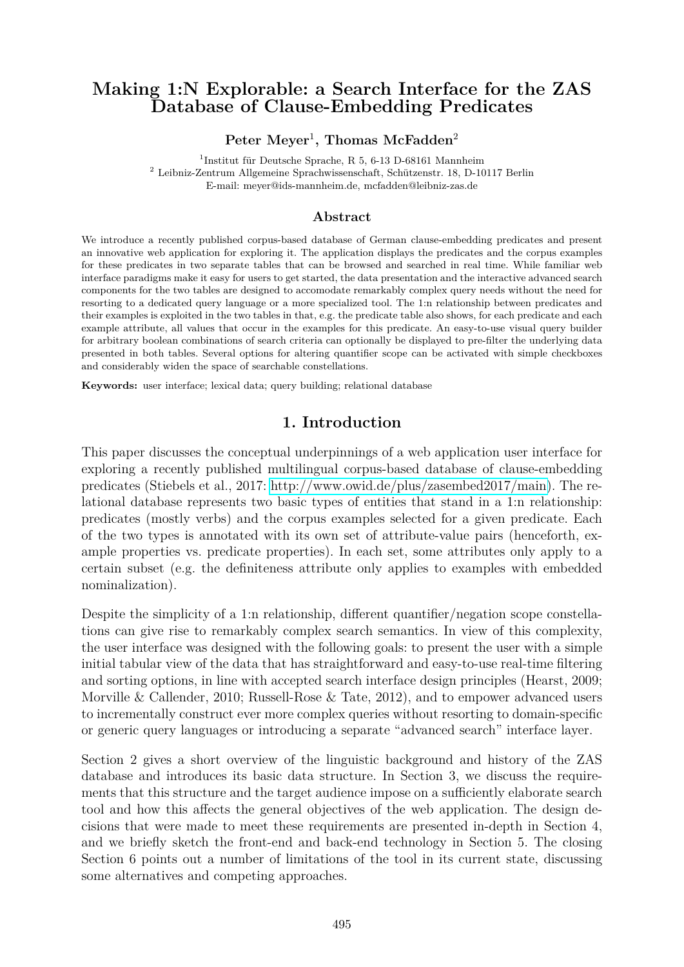# **Making 1:N Explorable: a Search Interface for the ZAS Database of Clause-Embedding Predicates**

#### Peter Meyer<sup>1</sup>, Thomas McFadden<sup>2</sup>

1 Institut für Deutsche Sprache, R 5, 6-13 D-68161 Mannheim <sup>2</sup> Leibniz-Zentrum Allgemeine Sprachwissenschaft, Schützenstr. 18, D-10117 Berlin E-mail: meyer@ids-mannheim.de, mcfadden@leibniz-zas.de

#### **Abstract**

We introduce a recently published corpus-based database of German clause-embedding predicates and present an innovative web application for exploring it. The application displays the predicates and the corpus examples for these predicates in two separate tables that can be browsed and searched in real time. While familiar web interface paradigms make it easy for users to get started, the data presentation and the interactive advanced search components for the two tables are designed to accomodate remarkably complex query needs without the need for resorting to a dedicated query language or a more specialized tool. The 1:n relationship between predicates and their examples is exploited in the two tables in that, e.g. the predicate table also shows, for each predicate and each example attribute, all values that occur in the examples for this predicate. An easy-to-use visual query builder for arbitrary boolean combinations of search criteria can optionally be displayed to pre-filter the underlying data presented in both tables. Several options for altering quantifier scope can be activated with simple checkboxes and considerably widen the space of searchable constellations.

**Keywords:** user interface; lexical data; query building; relational database

## **1. Introduction**

This paper discusses the conceptual underpinnings of a web application user interface for exploring a recently published multilingual corpus-based database of clause-embedding predicates (Stiebels et al., 2017: [http://www.owid.de/plus/zasembed2017/main\)](http://www.owid.de/plus/zasembed2017/main). The relational database represents two basic types of entities that stand in a 1:n relationship: predicates (mostly verbs) and the corpus examples selected for a given predicate. Each of the two types is annotated with its own set of attribute-value pairs (henceforth, example properties vs. predicate properties). In each set, some attributes only apply to a certain subset (e.g. the definiteness attribute only applies to examples with embedded nominalization).

Despite the simplicity of a 1:n relationship, different quantifier/negation scope constellations can give rise to remarkably complex search semantics. In view of this complexity, the user interface was designed with the following goals: to present the user with a simple initial tabular view of the data that has straightforward and easy-to-use real-time filtering and sorting options, in line with accepted search interface design principles (Hearst, 2009; Morville & Callender, 2010; Russell-Rose & Tate, 2012), and to empower advanced users to incrementally construct ever more complex queries without resorting to domain-specific or generic query languages or introducing a separate "advanced search" interface layer.

Section 2 gives a short overview of the linguistic background and history of the ZAS database and introduces its basic data structure. In Section 3, we discuss the requirements that this structure and the target audience impose on a sufficiently elaborate search tool and how this affects the general objectives of the web application. The design decisions that were made to meet these requirements are presented in-depth in Section 4, and we briefly sketch the front-end and back-end technology in Section 5. The closing Section 6 points out a number of limitations of the tool in its current state, discussing some alternatives and competing approaches.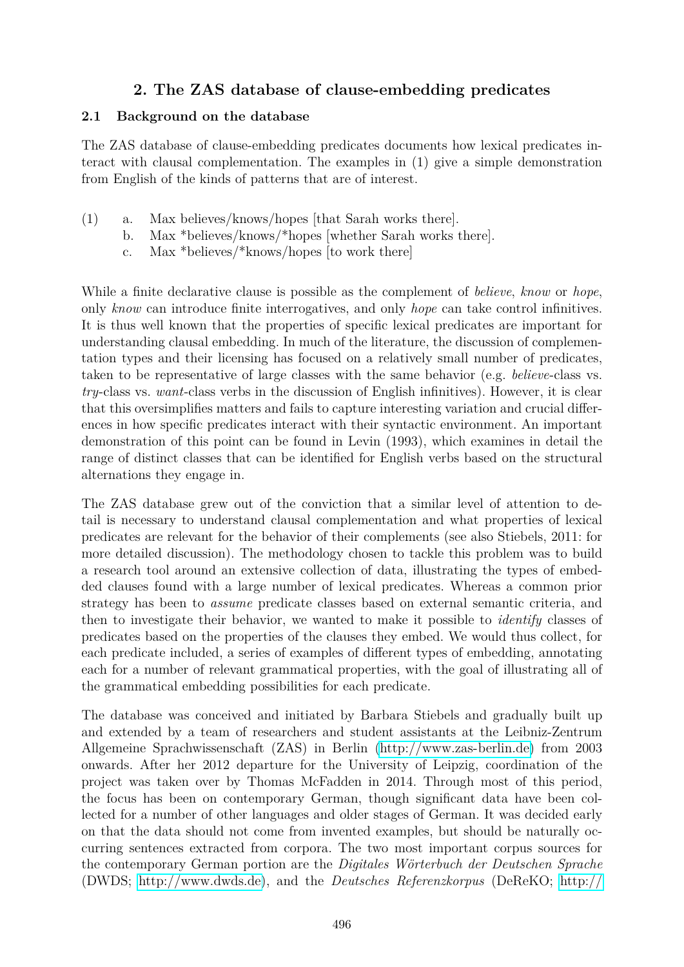# **2. The ZAS database of clause-embedding predicates**

#### **2.1 Background on the database**

The ZAS database of clause-embedding predicates documents how lexical predicates interact with clausal complementation. The examples in (1) give a simple demonstration from English of the kinds of patterns that are of interest.

- (1) a. Max believes/knows/hopes [that Sarah works there].
	- b. Max \*believes/knows/\*hopes [whether Sarah works there].
	- c. Max \*believes/\*knows/hopes [to work there]

While a finite declarative clause is possible as the complement of *believe*, *know* or *hope*, only *know* can introduce finite interrogatives, and only *hope* can take control infinitives. It is thus well known that the properties of specific lexical predicates are important for understanding clausal embedding. In much of the literature, the discussion of complementation types and their licensing has focused on a relatively small number of predicates, taken to be representative of large classes with the same behavior (e.g. *believe*-class vs. *try*-class vs. *want*-class verbs in the discussion of English infinitives). However, it is clear that this oversimplifies matters and fails to capture interesting variation and crucial differences in how specific predicates interact with their syntactic environment. An important demonstration of this point can be found in Levin (1993), which examines in detail the range of distinct classes that can be identified for English verbs based on the structural alternations they engage in.

The ZAS database grew out of the conviction that a similar level of attention to detail is necessary to understand clausal complementation and what properties of lexical predicates are relevant for the behavior of their complements (see also Stiebels, 2011: for more detailed discussion). The methodology chosen to tackle this problem was to build a research tool around an extensive collection of data, illustrating the types of embedded clauses found with a large number of lexical predicates. Whereas a common prior strategy has been to *assume* predicate classes based on external semantic criteria, and then to investigate their behavior, we wanted to make it possible to *identify* classes of predicates based on the properties of the clauses they embed. We would thus collect, for each predicate included, a series of examples of different types of embedding, annotating each for a number of relevant grammatical properties, with the goal of illustrating all of the grammatical embedding possibilities for each predicate.

The database was conceived and initiated by Barbara Stiebels and gradually built up and extended by a team of researchers and student assistants at the Leibniz-Zentrum Allgemeine Sprachwissenschaft (ZAS) in Berlin [\(http://www.zas-berlin.de\)](http://www.zas-berlin.de) from 2003 onwards. After her 2012 departure for the University of Leipzig, coordination of the project was taken over by Thomas McFadden in 2014. Through most of this period, the focus has been on contemporary German, though significant data have been collected for a number of other languages and older stages of German. It was decided early on that the data should not come from invented examples, but should be naturally occurring sentences extracted from corpora. The two most important corpus sources for the contemporary German portion are the *Digitales Wörterbuch der Deutschen Sprache* (DWDS; [http://www.dwds.de\)](http://www.dwds.de), and the *Deutsches Referenzkorpus* (DeReKO; [http://](http://www1.ids-mannheim.de/kl/projekte/korpora/)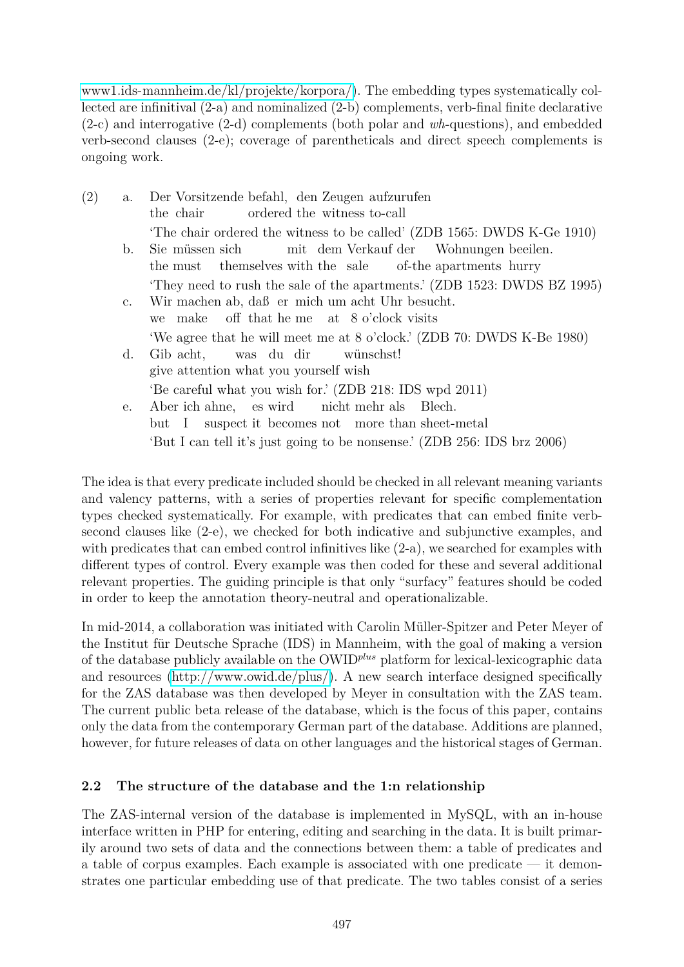[www1.ids-mannheim.de/kl/projekte/korpora/\)](http://www1.ids-mannheim.de/kl/projekte/korpora/). The embedding types systematically collected are infinitival (2-a) and nominalized (2-b) complements, verb-final finite declarative (2-c) and interrogative (2-d) complements (both polar and *wh*-questions), and embedded verb-second clauses (2-e); coverage of parentheticals and direct speech complements is ongoing work.

- (2) a. Der Vorsitzende befahl, den Zeugen aufzurufen the chair ordered the witness to-call 'The chair ordered the witness to be called' (ZDB 1565: DWDS K-Ge 1910) b. Sie müssen sich the must themselves with the sale mit dem Verkauf der of-the apartments hurry Wohnungen beeilen. 'They need to rush the sale of the apartments.' (ZDB 1523: DWDS BZ 1995) c. Wir machen ab, daß er mich um acht Uhr besucht. we make off that he me at 8 o'clock visits 'We agree that he will meet me at 8 o'clock.' (ZDB 70: DWDS K-Be 1980) d. Gib acht, give attention what you yourself wish was du dir wünschst! 'Be careful what you wish for.' (ZDB 218: IDS wpd 2011) e. Aber ich ahne, es wird nicht mehr als Blech.
	- but I suspect it becomes not more than sheet-metal 'But I can tell it's just going to be nonsense.' (ZDB 256: IDS brz 2006)

The idea is that every predicate included should be checked in all relevant meaning variants and valency patterns, with a series of properties relevant for specific complementation types checked systematically. For example, with predicates that can embed finite verbsecond clauses like (2-e), we checked for both indicative and subjunctive examples, and with predicates that can embed control infinitives like (2-a), we searched for examples with different types of control. Every example was then coded for these and several additional relevant properties. The guiding principle is that only "surfacy" features should be coded in order to keep the annotation theory-neutral and operationalizable.

In mid-2014, a collaboration was initiated with Carolin Müller-Spitzer and Peter Meyer of the Institut für Deutsche Sprache (IDS) in Mannheim, with the goal of making a version of the database publicly available on the OWID*plus* platform for lexical-lexicographic data and resources [\(http://www.owid.de/plus/\)](http://www.owid.de/plus/). A new search interface designed specifically for the ZAS database was then developed by Meyer in consultation with the ZAS team. The current public beta release of the database, which is the focus of this paper, contains only the data from the contemporary German part of the database. Additions are planned, however, for future releases of data on other languages and the historical stages of German.

### **2.2 The structure of the database and the 1:n relationship**

The ZAS-internal version of the database is implemented in MySQL, with an in-house interface written in PHP for entering, editing and searching in the data. It is built primarily around two sets of data and the connections between them: a table of predicates and a table of corpus examples. Each example is associated with one predicate — it demonstrates one particular embedding use of that predicate. The two tables consist of a series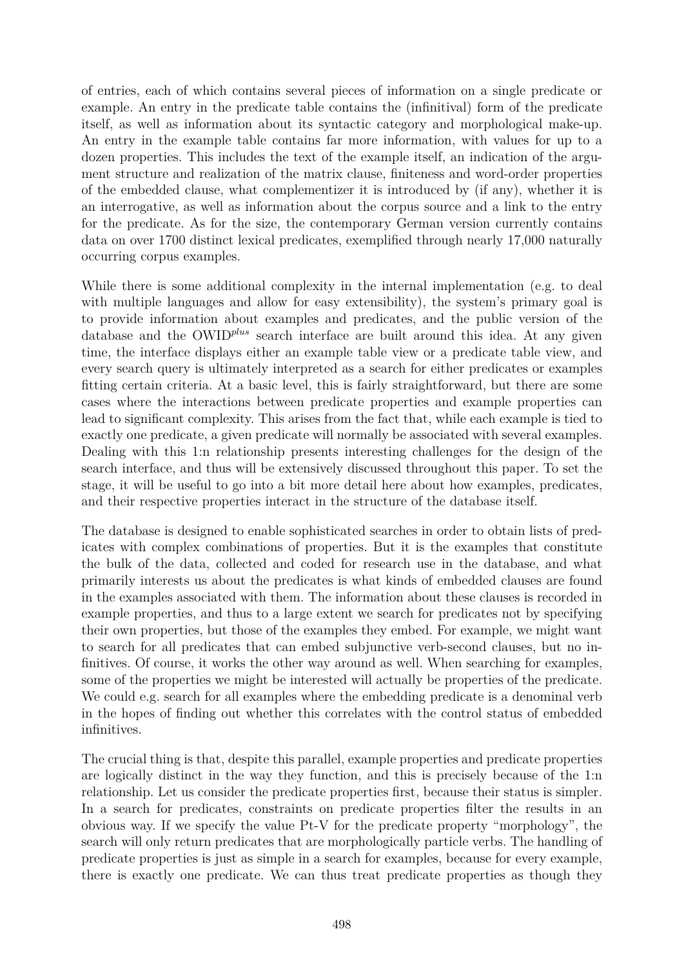of entries, each of which contains several pieces of information on a single predicate or example. An entry in the predicate table contains the (infinitival) form of the predicate itself, as well as information about its syntactic category and morphological make-up. An entry in the example table contains far more information, with values for up to a dozen properties. This includes the text of the example itself, an indication of the argument structure and realization of the matrix clause, finiteness and word-order properties of the embedded clause, what complementizer it is introduced by (if any), whether it is an interrogative, as well as information about the corpus source and a link to the entry for the predicate. As for the size, the contemporary German version currently contains data on over 1700 distinct lexical predicates, exemplified through nearly 17,000 naturally occurring corpus examples.

While there is some additional complexity in the internal implementation (e.g. to deal with multiple languages and allow for easy extensibility), the system's primary goal is to provide information about examples and predicates, and the public version of the database and the OWID*plus* search interface are built around this idea. At any given time, the interface displays either an example table view or a predicate table view, and every search query is ultimately interpreted as a search for either predicates or examples fitting certain criteria. At a basic level, this is fairly straightforward, but there are some cases where the interactions between predicate properties and example properties can lead to significant complexity. This arises from the fact that, while each example is tied to exactly one predicate, a given predicate will normally be associated with several examples. Dealing with this 1:n relationship presents interesting challenges for the design of the search interface, and thus will be extensively discussed throughout this paper. To set the stage, it will be useful to go into a bit more detail here about how examples, predicates, and their respective properties interact in the structure of the database itself.

The database is designed to enable sophisticated searches in order to obtain lists of predicates with complex combinations of properties. But it is the examples that constitute the bulk of the data, collected and coded for research use in the database, and what primarily interests us about the predicates is what kinds of embedded clauses are found in the examples associated with them. The information about these clauses is recorded in example properties, and thus to a large extent we search for predicates not by specifying their own properties, but those of the examples they embed. For example, we might want to search for all predicates that can embed subjunctive verb-second clauses, but no infinitives. Of course, it works the other way around as well. When searching for examples, some of the properties we might be interested will actually be properties of the predicate. We could e.g. search for all examples where the embedding predicate is a denominal verb in the hopes of finding out whether this correlates with the control status of embedded infinitives.

The crucial thing is that, despite this parallel, example properties and predicate properties are logically distinct in the way they function, and this is precisely because of the 1:n relationship. Let us consider the predicate properties first, because their status is simpler. In a search for predicates, constraints on predicate properties filter the results in an obvious way. If we specify the value Pt-V for the predicate property "morphology", the search will only return predicates that are morphologically particle verbs. The handling of predicate properties is just as simple in a search for examples, because for every example, there is exactly one predicate. We can thus treat predicate properties as though they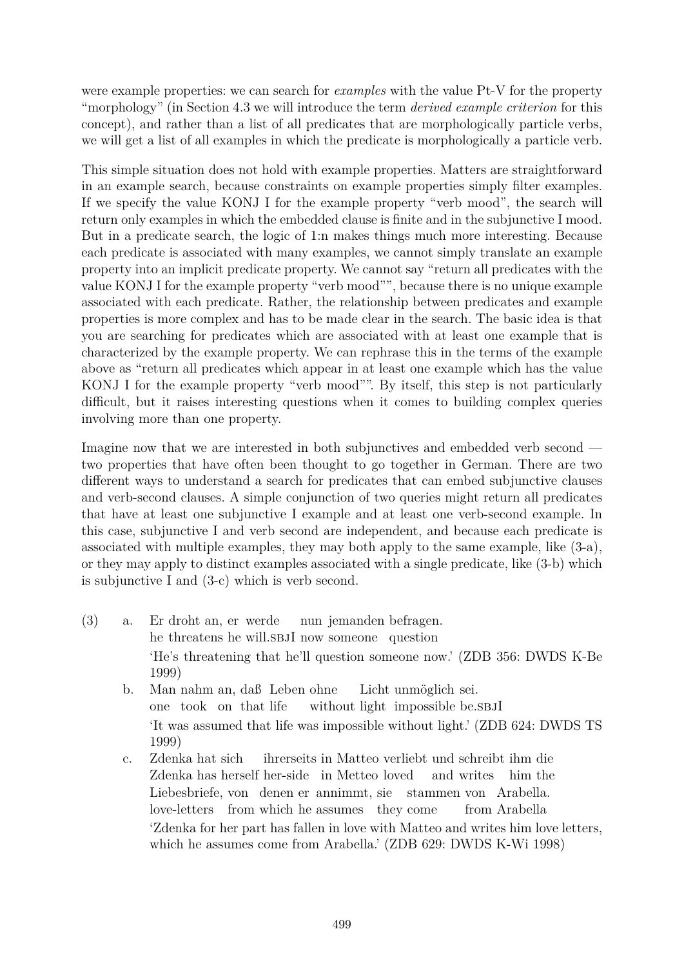were example properties: we can search for *examples* with the value Pt-V for the property "morphology" (in Section 4.3 we will introduce the term *derived example criterion* for this concept), and rather than a list of all predicates that are morphologically particle verbs, we will get a list of all examples in which the predicate is morphologically a particle verb.

This simple situation does not hold with example properties. Matters are straightforward in an example search, because constraints on example properties simply filter examples. If we specify the value KONJ I for the example property "verb mood", the search will return only examples in which the embedded clause is finite and in the subjunctive I mood. But in a predicate search, the logic of 1:n makes things much more interesting. Because each predicate is associated with many examples, we cannot simply translate an example property into an implicit predicate property. We cannot say "return all predicates with the value KONJ I for the example property "verb mood"", because there is no unique example associated with each predicate. Rather, the relationship between predicates and example properties is more complex and has to be made clear in the search. The basic idea is that you are searching for predicates which are associated with at least one example that is characterized by the example property. We can rephrase this in the terms of the example above as "return all predicates which appear in at least one example which has the value KONJ I for the example property "verb mood"". By itself, this step is not particularly difficult, but it raises interesting questions when it comes to building complex queries involving more than one property.

Imagine now that we are interested in both subjunctives and embedded verb second two properties that have often been thought to go together in German. There are two different ways to understand a search for predicates that can embed subjunctive clauses and verb-second clauses. A simple conjunction of two queries might return all predicates that have at least one subjunctive I example and at least one verb-second example. In this case, subjunctive I and verb second are independent, and because each predicate is associated with multiple examples, they may both apply to the same example, like (3-a), or they may apply to distinct examples associated with a single predicate, like (3-b) which is subjunctive I and (3-c) which is verb second.

- $(3)$  a. he threatens he will.SBJI now someone question droht an, er werde nun jemanden befragen. 'He's threatening that he'll question someone now.' (ZDB 356: DWDS K-Be 1999)
	- b. Man nahm an, daß Leben ohne one took on that life without light impossible be.s BJI Licht unmöglich sei. 'It was assumed that life was impossible without light.' (ZDB 624: DWDS TS 1999)
	- c. Zdenka hat sich Zdenka has herself her-side in Metteo loved ihrerseits in Matteo verliebt und schreibt ihm die and writes him the Liebesbriefe, von denen er annimmt, sie stammen von Arabella. love-letters from which he assumes they come from Arabella 'Zdenka for her part has fallen in love with Matteo and writes him love letters, which he assumes come from Arabella.' (ZDB 629: DWDS K-Wi 1998)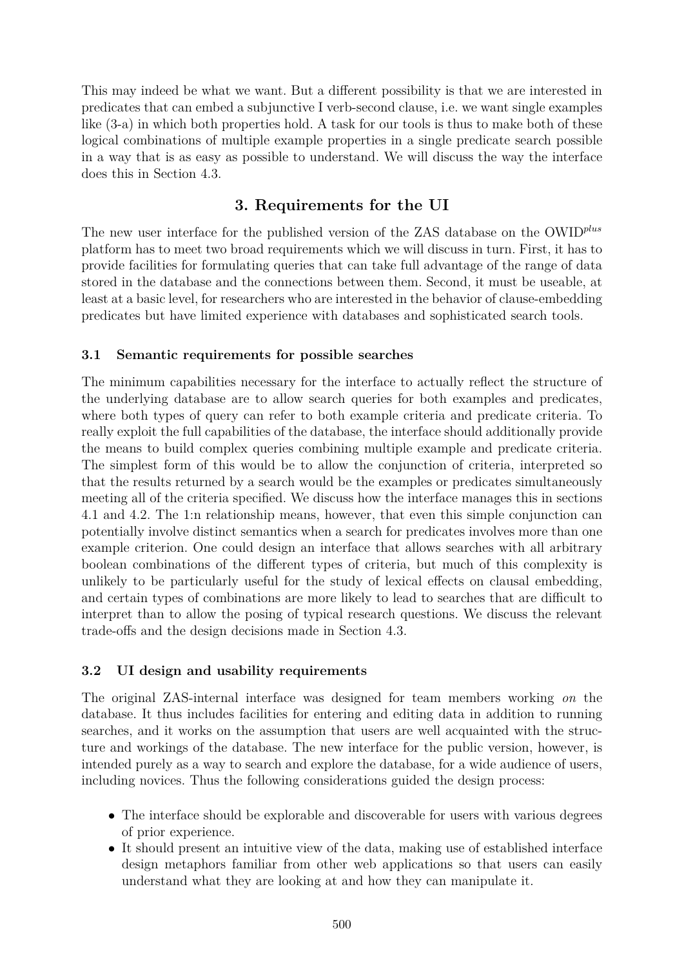This may indeed be what we want. But a different possibility is that we are interested in predicates that can embed a subjunctive I verb-second clause, i.e. we want single examples like (3-a) in which both properties hold. A task for our tools is thus to make both of these logical combinations of multiple example properties in a single predicate search possible in a way that is as easy as possible to understand. We will discuss the way the interface does this in Section 4.3.

### **3. Requirements for the UI**

The new user interface for the published version of the ZAS database on the OWID*plus* platform has to meet two broad requirements which we will discuss in turn. First, it has to provide facilities for formulating queries that can take full advantage of the range of data stored in the database and the connections between them. Second, it must be useable, at least at a basic level, for researchers who are interested in the behavior of clause-embedding predicates but have limited experience with databases and sophisticated search tools.

#### **3.1 Semantic requirements for possible searches**

The minimum capabilities necessary for the interface to actually reflect the structure of the underlying database are to allow search queries for both examples and predicates, where both types of query can refer to both example criteria and predicate criteria. To really exploit the full capabilities of the database, the interface should additionally provide the means to build complex queries combining multiple example and predicate criteria. The simplest form of this would be to allow the conjunction of criteria, interpreted so that the results returned by a search would be the examples or predicates simultaneously meeting all of the criteria specified. We discuss how the interface manages this in sections 4.1 and 4.2. The 1:n relationship means, however, that even this simple conjunction can potentially involve distinct semantics when a search for predicates involves more than one example criterion. One could design an interface that allows searches with all arbitrary boolean combinations of the different types of criteria, but much of this complexity is unlikely to be particularly useful for the study of lexical effects on clausal embedding, and certain types of combinations are more likely to lead to searches that are difficult to interpret than to allow the posing of typical research questions. We discuss the relevant trade-offs and the design decisions made in Section 4.3.

#### **3.2 UI design and usability requirements**

The original ZAS-internal interface was designed for team members working *on* the database. It thus includes facilities for entering and editing data in addition to running searches, and it works on the assumption that users are well acquainted with the structure and workings of the database. The new interface for the public version, however, is intended purely as a way to search and explore the database, for a wide audience of users, including novices. Thus the following considerations guided the design process:

- The interface should be explorable and discoverable for users with various degrees of prior experience.
- It should present an intuitive view of the data, making use of established interface design metaphors familiar from other web applications so that users can easily understand what they are looking at and how they can manipulate it.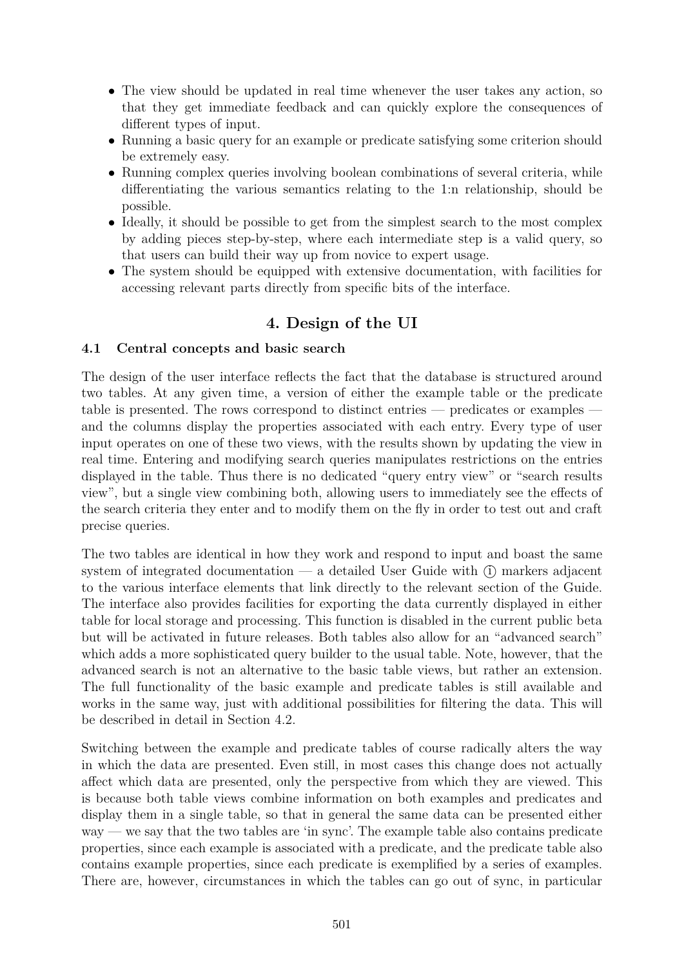- The view should be updated in real time whenever the user takes any action, so that they get immediate feedback and can quickly explore the consequences of different types of input.
- Running a basic query for an example or predicate satisfying some criterion should be extremely easy.
- Running complex queries involving boolean combinations of several criteria, while differentiating the various semantics relating to the 1:n relationship, should be possible.
- Ideally, it should be possible to get from the simplest search to the most complex by adding pieces step-by-step, where each intermediate step is a valid query, so that users can build their way up from novice to expert usage.
- The system should be equipped with extensive documentation, with facilities for accessing relevant parts directly from specific bits of the interface.

# **4. Design of the UI**

## **4.1 Central concepts and basic search**

The design of the user interface reflects the fact that the database is structured around two tables. At any given time, a version of either the example table or the predicate table is presented. The rows correspond to distinct entries — predicates or examples and the columns display the properties associated with each entry. Every type of user input operates on one of these two views, with the results shown by updating the view in real time. Entering and modifying search queries manipulates restrictions on the entries displayed in the table. Thus there is no dedicated "query entry view" or "search results view", but a single view combining both, allowing users to immediately see the effects of the search criteria they enter and to modify them on the fly in order to test out and craft precise queries.

The two tables are identical in how they work and respond to input and boast the same system of integrated documentation  $-$  a detailed User Guide with  $(i)$  markers adjacent to the various interface elements that link directly to the relevant section of the Guide. The interface also provides facilities for exporting the data currently displayed in either table for local storage and processing. This function is disabled in the current public beta but will be activated in future releases. Both tables also allow for an "advanced search" which adds a more sophisticated query builder to the usual table. Note, however, that the advanced search is not an alternative to the basic table views, but rather an extension. The full functionality of the basic example and predicate tables is still available and works in the same way, just with additional possibilities for filtering the data. This will be described in detail in Section 4.2.

Switching between the example and predicate tables of course radically alters the way in which the data are presented. Even still, in most cases this change does not actually affect which data are presented, only the perspective from which they are viewed. This is because both table views combine information on both examples and predicates and display them in a single table, so that in general the same data can be presented either way — we say that the two tables are 'in sync'. The example table also contains predicate properties, since each example is associated with a predicate, and the predicate table also contains example properties, since each predicate is exemplified by a series of examples. There are, however, circumstances in which the tables can go out of sync, in particular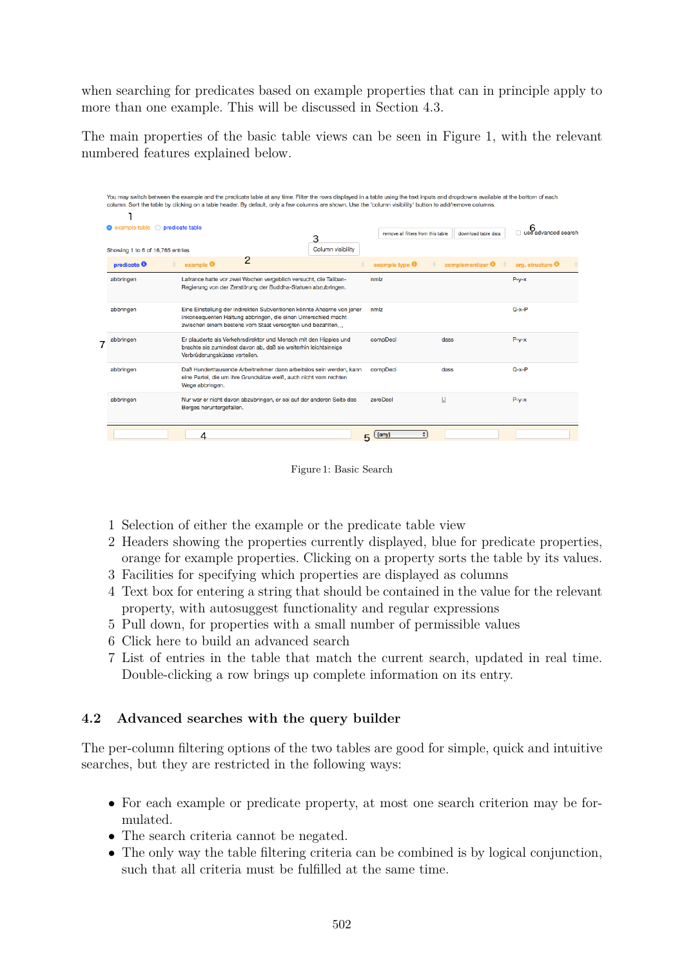when searching for predicates based on example properties that can in principle apply to more than one example. This will be discussed in Section 4.3.

The main properties of the basic table views can be seen in Figure 1, with the relevant numbered features explained below.

| o predicate table<br>example table |                                          |                                                                                                                                                                                                     | 3                        | remove all filters from this table | download table data | B<br>□ use advanced search |                             |  |  |
|------------------------------------|------------------------------------------|-----------------------------------------------------------------------------------------------------------------------------------------------------------------------------------------------------|--------------------------|------------------------------------|---------------------|----------------------------|-----------------------------|--|--|
| Showing 1 to 6 of 16,765 entries   |                                          |                                                                                                                                                                                                     | <b>Column visibility</b> |                                    |                     |                            |                             |  |  |
| predicate $\boldsymbol{\Theta}$    | $example$ <sup><math>\theta</math></sup> | 2                                                                                                                                                                                                   |                          | example type <b>O</b>              |                     | complementizer <b>O</b>    | arg. structure <sup>6</sup> |  |  |
| abbringen                          |                                          | Lafrance hatte vor zwei Wochen vergeblich versucht, die Taliban-<br>Regierung von der Zerstörung der Buddha-Statuen abzubringen.                                                                    |                          | nmlz                               |                     |                            | $P-y-x$                     |  |  |
| abbringen                          |                                          | Eine Einstellung der indirekten Subventionen könnte Ahearne von jener<br>inkonsequenten Haltung abbringen, die einen Unterschied macht<br>zwischen einem bestens vom Staat versorgten und bezahlten |                          | nmlz                               |                     |                            | $Q - x - P$                 |  |  |
| abbringen                          | Verbrüderungsküsse verteilen.            | Er plauderte als Verkehrsdirektor und Mensch mit den Hippies und<br>brachte sie zumindest davon ab, daß sie weiterhin leichtsinnige                                                                 |                          | compDecl                           | dass                |                            | $P-y-x$                     |  |  |
| abbringen                          | Wege abbringen.                          | Daß Hunderttausende Arbeitnehmer dann arbeitslos sein werden, kann<br>eine Partei, die um ihre Grundsätze weiß, auch nicht vom rechten                                                              |                          | compDecl                           | dass                |                            | $O - x - P$                 |  |  |
| abbringen                          | Berges heruntergefallen.                 | Nur war er nicht davon abzubringen, er sei auf der anderen Seite des                                                                                                                                |                          | zeroDecl                           | $\mathbf{L}$        |                            | $P - v - x$                 |  |  |

Figure 1: Basic Search

- 1 Selection of either the example or the predicate table view
- 2 Headers showing the properties currently displayed, blue for predicate properties, orange for example properties. Clicking on a property sorts the table by its values.
- 3 Facilities for specifying which properties are displayed as columns
- 4 Text box for entering a string that should be contained in the value for the relevant property, with autosuggest functionality and regular expressions
- 5 Pull down, for properties with a small number of permissible values
- 6 Click here to build an advanced search
- 7 List of entries in the table that match the current search, updated in real time. Double-clicking a row brings up complete information on its entry.

### **4.2 Advanced searches with the query builder**

The per-column filtering options of the two tables are good for simple, quick and intuitive searches, but they are restricted in the following ways:

- For each example or predicate property, at most one search criterion may be formulated.
- The search criteria cannot be negated.
- The only way the table filtering criteria can be combined is by logical conjunction, such that all criteria must be fulfilled at the same time.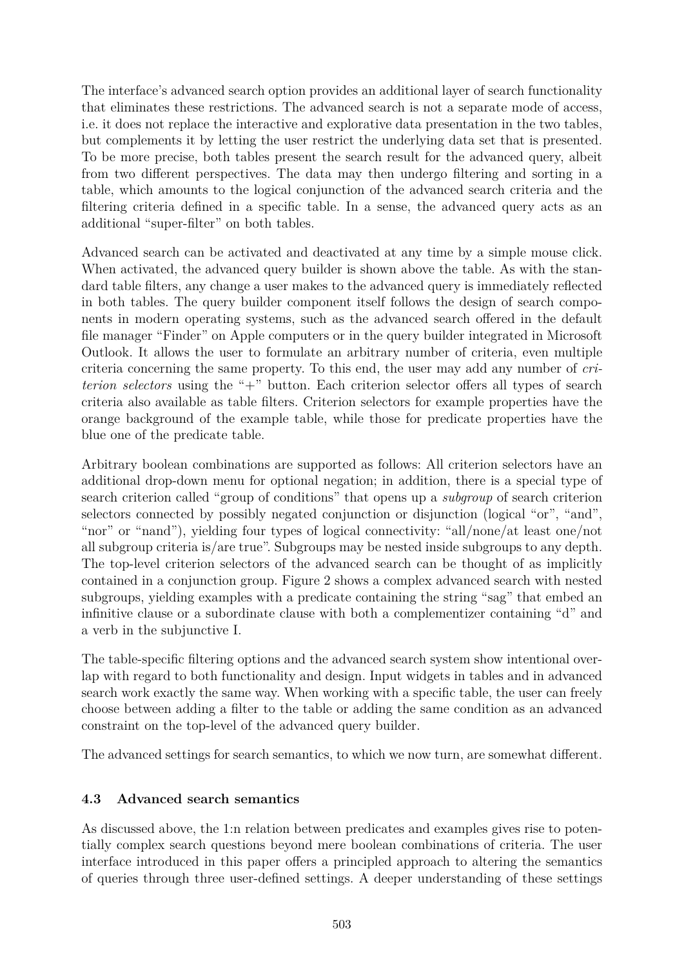The interface's advanced search option provides an additional layer of search functionality that eliminates these restrictions. The advanced search is not a separate mode of access, i.e. it does not replace the interactive and explorative data presentation in the two tables, but complements it by letting the user restrict the underlying data set that is presented. To be more precise, both tables present the search result for the advanced query, albeit from two different perspectives. The data may then undergo filtering and sorting in a table, which amounts to the logical conjunction of the advanced search criteria and the filtering criteria defined in a specific table. In a sense, the advanced query acts as an additional "super-filter" on both tables.

Advanced search can be activated and deactivated at any time by a simple mouse click. When activated, the advanced query builder is shown above the table. As with the standard table filters, any change a user makes to the advanced query is immediately reflected in both tables. The query builder component itself follows the design of search components in modern operating systems, such as the advanced search offered in the default file manager "Finder" on Apple computers or in the query builder integrated in Microsoft Outlook. It allows the user to formulate an arbitrary number of criteria, even multiple criteria concerning the same property. To this end, the user may add any number of *criterion selectors* using the " $+$ " button. Each criterion selector offers all types of search criteria also available as table filters. Criterion selectors for example properties have the orange background of the example table, while those for predicate properties have the blue one of the predicate table.

Arbitrary boolean combinations are supported as follows: All criterion selectors have an additional drop-down menu for optional negation; in addition, there is a special type of search criterion called "group of conditions" that opens up a *subgroup* of search criterion selectors connected by possibly negated conjunction or disjunction (logical "or", "and", "nor" or "nand"), yielding four types of logical connectivity: "all/none/at least one/not all subgroup criteria is/are true". Subgroups may be nested inside subgroups to any depth. The top-level criterion selectors of the advanced search can be thought of as implicitly contained in a conjunction group. Figure 2 shows a complex advanced search with nested subgroups, yielding examples with a predicate containing the string "sag" that embed an infinitive clause or a subordinate clause with both a complementizer containing "d" and a verb in the subjunctive I.

The table-specific filtering options and the advanced search system show intentional overlap with regard to both functionality and design. Input widgets in tables and in advanced search work exactly the same way. When working with a specific table, the user can freely choose between adding a filter to the table or adding the same condition as an advanced constraint on the top-level of the advanced query builder.

The advanced settings for search semantics, to which we now turn, are somewhat different.

### **4.3 Advanced search semantics**

As discussed above, the 1:n relation between predicates and examples gives rise to potentially complex search questions beyond mere boolean combinations of criteria. The user interface introduced in this paper offers a principled approach to altering the semantics of queries through three user-defined settings. A deeper understanding of these settings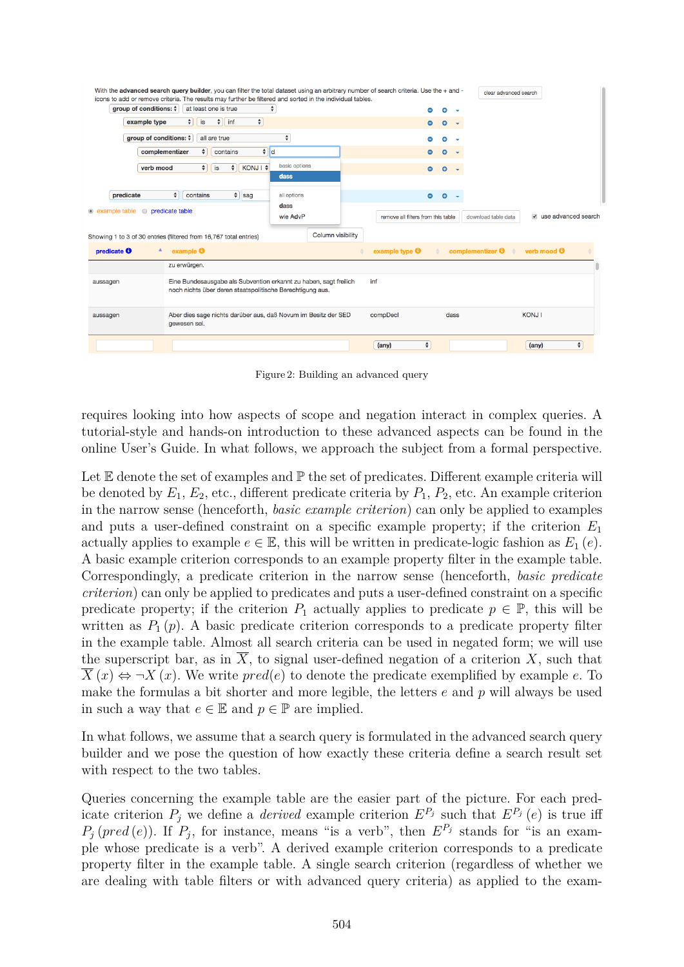| With the advanced search query builder, you can filter the total dataset using an arbitrary number of search criteria. Use the + and -<br>icons to add or remove criteria. The results may further be filtered and sorted in the individual tables. |                                                                   |                                    | clear advanced search                         |
|-----------------------------------------------------------------------------------------------------------------------------------------------------------------------------------------------------------------------------------------------------|-------------------------------------------------------------------|------------------------------------|-----------------------------------------------|
| group of conditions: $\dagger$<br>at least one is true                                                                                                                                                                                              | ÷                                                                 | ი<br>Ξ                             |                                               |
| $\div$ linf<br>$\frac{1}{2}$<br>example type<br>is                                                                                                                                                                                                  | $\div$                                                            | $\bullet$                          |                                               |
| group of conditions: $\hat{z}$<br>all are true                                                                                                                                                                                                      | $\div$                                                            |                                    |                                               |
| complementizer<br>$\bullet$<br>contains                                                                                                                                                                                                             | $\bullet$ d                                                       |                                    |                                               |
| $\div$<br>$\div$<br>verb mood<br>is                                                                                                                                                                                                                 | basic options<br>KONJ   \$                                        | $\bullet$                          |                                               |
|                                                                                                                                                                                                                                                     | dass                                                              |                                    |                                               |
| $\hat{\mathbf{z}}$<br>$\div$ sag<br>predicate<br>contains                                                                                                                                                                                           | all options                                                       | $\bullet$<br>$\bullet$             |                                               |
| • example table<br><b>O</b> predicate table                                                                                                                                                                                                         | dass                                                              |                                    |                                               |
|                                                                                                                                                                                                                                                     | wie AdvP                                                          | remove all filters from this table | v use advanced search<br>download table data  |
| Showing 1 to 3 of 30 entries (filtered from 16,767 total entries)                                                                                                                                                                                   | <b>Column visibility</b>                                          |                                    |                                               |
| predicate $\boldsymbol{\Theta}$<br>example $\Theta$                                                                                                                                                                                                 |                                                                   | example type $\Theta$              | verb mood <b>O</b><br>complementizer <b>O</b> |
| zu erwürgen.                                                                                                                                                                                                                                        |                                                                   |                                    |                                               |
| aussagen<br>noch nichts über deren staatspolitische Berechtigung aus.                                                                                                                                                                               | Eine Bundesausgabe als Subvention erkannt zu haben, sagt freilich | inf                                |                                               |
| aussagen<br>gewesen sei.                                                                                                                                                                                                                            | Aber dies sage nichts darüber aus, daß Novum im Besitz der SED    | compDecl<br>dass                   | <b>KONJI</b>                                  |
|                                                                                                                                                                                                                                                     |                                                                   | $\div$<br>(any)                    | $\hat{\mathbf{r}}$<br>(any)                   |

Figure 2: Building an advanced query

requires looking into how aspects of scope and negation interact in complex queries. A tutorial-style and hands-on introduction to these advanced aspects can be found in the online User's Guide. In what follows, we approach the subject from a formal perspective.

Let  $E$  denote the set of examples and  $\mathbb P$  the set of predicates. Different example criteria will be denoted by  $E_1, E_2$ , etc., different predicate criteria by  $P_1, P_2$ , etc. An example criterion in the narrow sense (henceforth, *basic example criterion*) can only be applied to examples and puts a user-defined constraint on a specific example property; if the criterion *E*<sup>1</sup> actually applies to example  $e \in \mathbb{E}$ , this will be written in predicate-logic fashion as  $E_1(e)$ . A basic example criterion corresponds to an example property filter in the example table. Correspondingly, a predicate criterion in the narrow sense (henceforth, *basic predicate criterion*) can only be applied to predicates and puts a user-defined constraint on a specific predicate property; if the criterion  $P_1$  actually applies to predicate  $p \in \mathbb{P}$ , this will be written as  $P_1(p)$ . A basic predicate criterion corresponds to a predicate property filter in the example table. Almost all search criteria can be used in negated form; we will use the superscript bar, as in  $\overline{X}$ , to signal user-defined negation of a criterion X, such that  $X(x) \Leftrightarrow \neg X(x)$ . We write  $pred(e)$  to denote the predicate exemplified by example *e*. To make the formulas a bit shorter and more legible, the letters *e* and *p* will always be used in such a way that  $e \in \mathbb{E}$  and  $p \in \mathbb{P}$  are implied.

In what follows, we assume that a search query is formulated in the advanced search query builder and we pose the question of how exactly these criteria define a search result set with respect to the two tables.

Queries concerning the example table are the easier part of the picture. For each predicate criterion  $P_j$  we define a *derived* example criterion  $E^{P_j}$  such that  $E^{P_j}(e)$  is true iff  $P_j$  (*pred* (*e*)). If  $P_j$ , for instance, means "is a verb", then  $E^{P_j}$  stands for "is an example whose predicate is a verb". A derived example criterion corresponds to a predicate property filter in the example table. A single search criterion (regardless of whether we are dealing with table filters or with advanced query criteria) as applied to the exam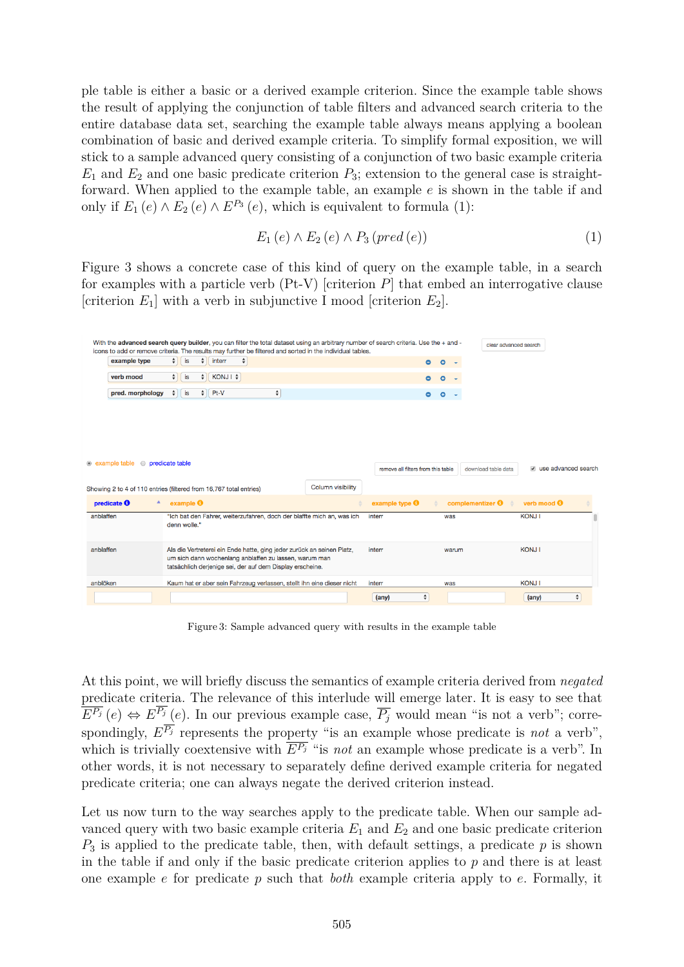ple table is either a basic or a derived example criterion. Since the example table shows the result of applying the conjunction of table filters and advanced search criteria to the entire database data set, searching the example table always means applying a boolean combination of basic and derived example criteria. To simplify formal exposition, we will stick to a sample advanced query consisting of a conjunction of two basic example criteria  $E_1$  and  $E_2$  and one basic predicate criterion  $P_3$ ; extension to the general case is straightforward. When applied to the example table, an example *e* is shown in the table if and only if  $E_1(e) \wedge E_2(e) \wedge E^{P_3}(e)$ , which is equivalent to formula (1):

$$
E_1(e) \wedge E_2(e) \wedge P_3(pred(e)) \tag{1}
$$

Figure 3 shows a concrete case of this kind of query on the example table, in a search for examples with a particle verb (Pt-V) [criterion *P*] that embed an interrogative clause [criterion  $E_1$ ] with a verb in subjunctive I mood [criterion  $E_2$ ].

|           | With the advanced search query builder, you can filter the total dataset using an arbitrary number of search criteria. Use the + and -<br>icons to add or remove criteria. The results may further be filtered and sorted in the individual tables. |        |              |        |                                                                                                                     |                    |                    |                                                                        |                                    |                    |           |       |                         | clear advanced search                          |                       |                    |  |
|-----------|-----------------------------------------------------------------------------------------------------------------------------------------------------------------------------------------------------------------------------------------------------|--------|--------------|--------|---------------------------------------------------------------------------------------------------------------------|--------------------|--------------------|------------------------------------------------------------------------|------------------------------------|--------------------|-----------|-------|-------------------------|------------------------------------------------|-----------------------|--------------------|--|
|           | example type                                                                                                                                                                                                                                        | $\div$ | is           | $\div$ | interr                                                                                                              | $\hat{\mathbf{z}}$ |                    |                                                                        |                                    | $\bullet$          | $\circ$   |       |                         |                                                |                       |                    |  |
|           | verb mood                                                                                                                                                                                                                                           | $\div$ | is           | $\div$ | $KONJI$ $\neq$                                                                                                      |                    |                    |                                                                        |                                    | $\bullet$          | $\circ$   |       |                         |                                                |                       |                    |  |
|           | pred. morphology                                                                                                                                                                                                                                    | ÷      | is           | $\div$ | Pt-V                                                                                                                |                    | $\hat{\mathbf{z}}$ |                                                                        |                                    | $\bullet$          | $\bullet$ |       |                         |                                                |                       |                    |  |
|           |                                                                                                                                                                                                                                                     |        |              |        |                                                                                                                     |                    |                    |                                                                        |                                    |                    |           |       |                         |                                                |                       |                    |  |
|           |                                                                                                                                                                                                                                                     |        |              |        |                                                                                                                     |                    |                    |                                                                        |                                    |                    |           |       |                         |                                                |                       |                    |  |
|           |                                                                                                                                                                                                                                                     |        |              |        |                                                                                                                     |                    |                    |                                                                        |                                    |                    |           |       |                         |                                                |                       |                    |  |
|           |                                                                                                                                                                                                                                                     |        |              |        |                                                                                                                     |                    |                    |                                                                        |                                    |                    |           |       |                         |                                                |                       |                    |  |
|           | • example table • predicate table                                                                                                                                                                                                                   |        |              |        |                                                                                                                     |                    |                    |                                                                        | remove all filters from this table |                    |           |       | download table data     |                                                | a use advanced search |                    |  |
|           |                                                                                                                                                                                                                                                     |        |              |        |                                                                                                                     |                    |                    |                                                                        |                                    |                    |           |       |                         |                                                |                       |                    |  |
|           | Showing 2 to 4 of 110 entries (filtered from 16,767 total entries)                                                                                                                                                                                  |        |              |        |                                                                                                                     |                    |                    | <b>Column visibility</b>                                               |                                    |                    |           |       |                         |                                                |                       |                    |  |
|           | predicate $\boldsymbol{\Theta}$<br>٨                                                                                                                                                                                                                |        | example      |        |                                                                                                                     |                    |                    |                                                                        | example type $\Theta$              |                    |           |       | complementizer <b>O</b> | verb mood $\boldsymbol{\Theta}$<br>$\triangle$ |                       |                    |  |
| anblaffen |                                                                                                                                                                                                                                                     |        | denn wolle." |        |                                                                                                                     |                    |                    | "Ich bat den Fahrer, weiterzufahren, doch der blaffte mich an, was ich | interr                             |                    |           | was   |                         | <b>KONJ1</b>                                   |                       |                    |  |
|           |                                                                                                                                                                                                                                                     |        |              |        |                                                                                                                     |                    |                    |                                                                        |                                    |                    |           |       |                         |                                                |                       |                    |  |
| anblaffen |                                                                                                                                                                                                                                                     |        |              |        |                                                                                                                     |                    |                    | Als die Vertreterei ein Ende hatte, ging jeder zurück an seinen Platz, | interr                             |                    |           | warum |                         | <b>KONJI</b>                                   |                       |                    |  |
|           |                                                                                                                                                                                                                                                     |        |              |        | um sich dann wochenlang anblaffen zu lassen, warum man<br>tatsächlich derjenige sei, der auf dem Display erscheine. |                    |                    |                                                                        |                                    |                    |           |       |                         |                                                |                       |                    |  |
|           |                                                                                                                                                                                                                                                     |        |              |        |                                                                                                                     |                    |                    |                                                                        |                                    |                    |           |       |                         |                                                |                       |                    |  |
| anblöken  |                                                                                                                                                                                                                                                     |        |              |        |                                                                                                                     |                    |                    | Kaum hat er aber sein Fahrzeug verlassen, stellt ihn eine dieser nicht | interr                             |                    |           | was   |                         | <b>KONJ1</b>                                   |                       |                    |  |
|           |                                                                                                                                                                                                                                                     |        |              |        |                                                                                                                     |                    |                    |                                                                        | $(\text{any})$                     | $\hat{\mathbf{v}}$ |           |       |                         | $(\text{any})$                                 |                       | $\hat{\mathbf{v}}$ |  |
|           |                                                                                                                                                                                                                                                     |        |              |        |                                                                                                                     |                    |                    |                                                                        |                                    |                    |           |       |                         |                                                |                       |                    |  |

Figure 3: Sample advanced query with results in the example table

At this point, we will briefly discuss the semantics of example criteria derived from *negated* predicate criteria. The relevance of this interlude will emerge later. It is easy to see that  $\overline{E^{P_j}}(e) \Leftrightarrow E^{P_j}(e)$ . In our previous example case,  $\overline{P_j}$  would mean "is not a verb"; correspondingly,  $E^{P_j}$  represents the property "is an example whose predicate is *not* a verb", which is trivially coextensive with  $\overline{E^{P_j}}$  "is *not* an example whose predicate is a verb". In other words, it is not necessary to separately define derived example criteria for negated predicate criteria; one can always negate the derived criterion instead.

Let us now turn to the way searches apply to the predicate table. When our sample advanced query with two basic example criteria  $E_1$  and  $E_2$  and one basic predicate criterion *P*<sup>3</sup> is applied to the predicate table, then, with default settings, a predicate *p* is shown in the table if and only if the basic predicate criterion applies to  $p$  and there is at least one example *e* for predicate *p* such that *both* example criteria apply to *e*. Formally, it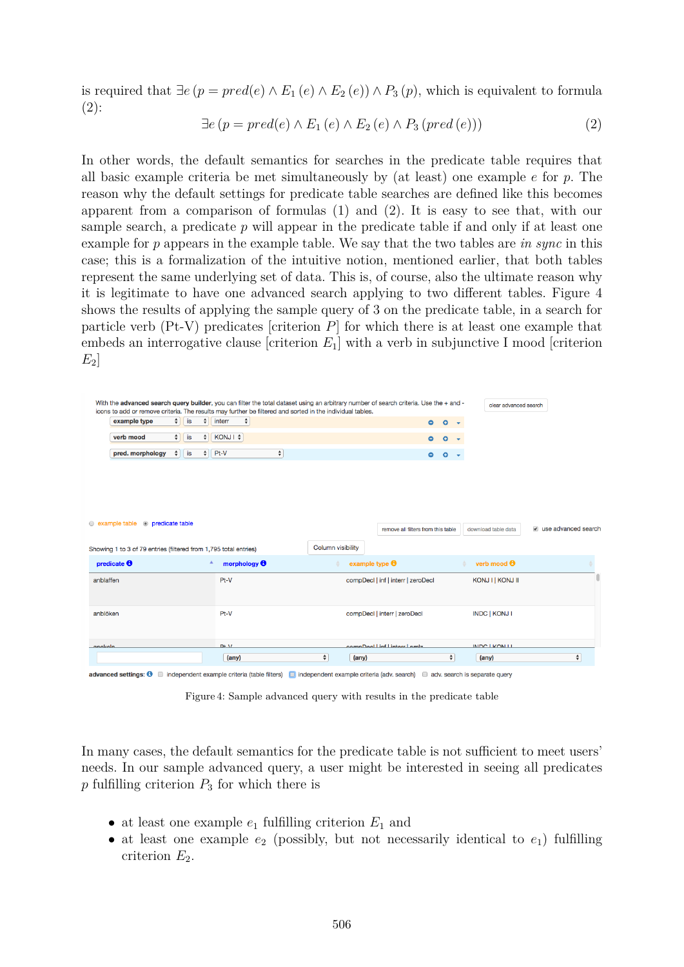is required that ∃*e* (*p* = *pred*(*e*) ∧ *E*<sup>1</sup> (*e*) ∧ *E*<sup>2</sup> (*e*)) ∧ *P*<sup>3</sup> (*p*), which is equivalent to formula (2):

$$
\exists e \left( p = pred(e) \land E_1(e) \land E_2(e) \land P_3(pred(e)) \right) \tag{2}
$$

In other words, the default semantics for searches in the predicate table requires that all basic example criteria be met simultaneously by (at least) one example *e* for *p*. The reason why the default settings for predicate table searches are defined like this becomes apparent from a comparison of formulas (1) and (2). It is easy to see that, with our sample search, a predicate *p* will appear in the predicate table if and only if at least one example for *p* appears in the example table. We say that the two tables are *in sync* in this case; this is a formalization of the intuitive notion, mentioned earlier, that both tables represent the same underlying set of data. This is, of course, also the ultimate reason why it is legitimate to have one advanced search applying to two different tables. Figure 4 shows the results of applying the sample query of 3 on the predicate table, in a search for particle verb (Pt-V) predicates [criterion *P*] for which there is at least one example that embeds an interrogative clause [criterion *E*1] with a verb in subjunctive I mood [criterion *E*2]

| With the advanced search query builder, you can filter the total dataset using an arbitrary number of search criteria. Use the + and - |        |                  |                  |                                |        |                          |                                    |                                        |                      |                       |                       |
|----------------------------------------------------------------------------------------------------------------------------------------|--------|------------------|------------------|--------------------------------|--------|--------------------------|------------------------------------|----------------------------------------|----------------------|-----------------------|-----------------------|
| icons to add or remove criteria. The results may further be filtered and sorted in the individual tables.                              |        |                  |                  |                                |        |                          |                                    |                                        |                      | clear advanced search |                       |
| example type                                                                                                                           |        | $\frac{4}{7}$ is |                  | $\frac{1}{2}$ interr<br>$\div$ |        |                          | $\bullet$                          | $\circ$ $\cdot$                        |                      |                       |                       |
| verb mood                                                                                                                              | $\div$ | is               | ÷                | KONJ I \$                      |        |                          | Θ.                                 | $\bullet$                              |                      |                       |                       |
| pred. morphology                                                                                                                       | $\div$ | is               |                  | $\div$ Pt-V                    | $\div$ |                          | ۰.                                 | $\bullet$ $\bullet$                    |                      |                       |                       |
|                                                                                                                                        |        |                  |                  |                                |        |                          |                                    |                                        |                      |                       |                       |
|                                                                                                                                        |        |                  |                  |                                |        |                          |                                    |                                        |                      |                       |                       |
|                                                                                                                                        |        |                  |                  |                                |        |                          |                                    |                                        |                      |                       |                       |
|                                                                                                                                        |        |                  |                  |                                |        |                          |                                    |                                        |                      |                       |                       |
| • example table • predicate table                                                                                                      |        |                  |                  |                                |        |                          | remove all filters from this table |                                        | download table data  |                       | a use advanced search |
|                                                                                                                                        |        |                  |                  |                                |        |                          |                                    |                                        |                      |                       |                       |
|                                                                                                                                        |        |                  |                  |                                |        |                          |                                    |                                        |                      |                       |                       |
| Showing 1 to 3 of 79 entries (filtered from 1,795 total entries)                                                                       |        |                  |                  |                                |        | <b>Column visibility</b> |                                    |                                        |                      |                       |                       |
|                                                                                                                                        |        |                  | $\blacktriangle$ | morphology $\Theta$            |        |                          | example type $\Theta$              |                                        | verb mood <b>O</b>   |                       |                       |
|                                                                                                                                        |        |                  |                  | $Pt-V$                         |        |                          | compDecl   inf   interr   zeroDecl |                                        | KONJ I   KONJ II     |                       |                       |
|                                                                                                                                        |        |                  |                  |                                |        |                          |                                    |                                        |                      |                       |                       |
|                                                                                                                                        |        |                  |                  |                                |        |                          |                                    |                                        |                      |                       |                       |
|                                                                                                                                        |        |                  |                  | Pt-V                           |        |                          | compDecl   interr   zeroDecl       |                                        | <b>INDC   KONJ I</b> |                       |                       |
|                                                                                                                                        |        |                  |                  |                                |        |                          |                                    |                                        |                      |                       |                       |
| predicate $\boldsymbol{\Theta}$<br>anblaffen<br>anblöken<br>angkola                                                                    |        |                  |                  | $D+M$                          |        | $\div$                   | compDool Linf Lintors Lambe        | $\overset{\blacktriangle}{\mathbf{v}}$ | INDC LICALLI         |                       | $\hat{\mathbf{v}}$    |

Figure 4: Sample advanced query with results in the predicate table

In many cases, the default semantics for the predicate table is not sufficient to meet users' needs. In our sample advanced query, a user might be interested in seeing all predicates  $p$  fulfilling criterion  $P_3$  for which there is

- at least one example  $e_1$  fulfilling criterion  $E_1$  and
- at least one example  $e_2$  (possibly, but not necessarily identical to  $e_1$ ) fulfilling criterion  $E_2$ .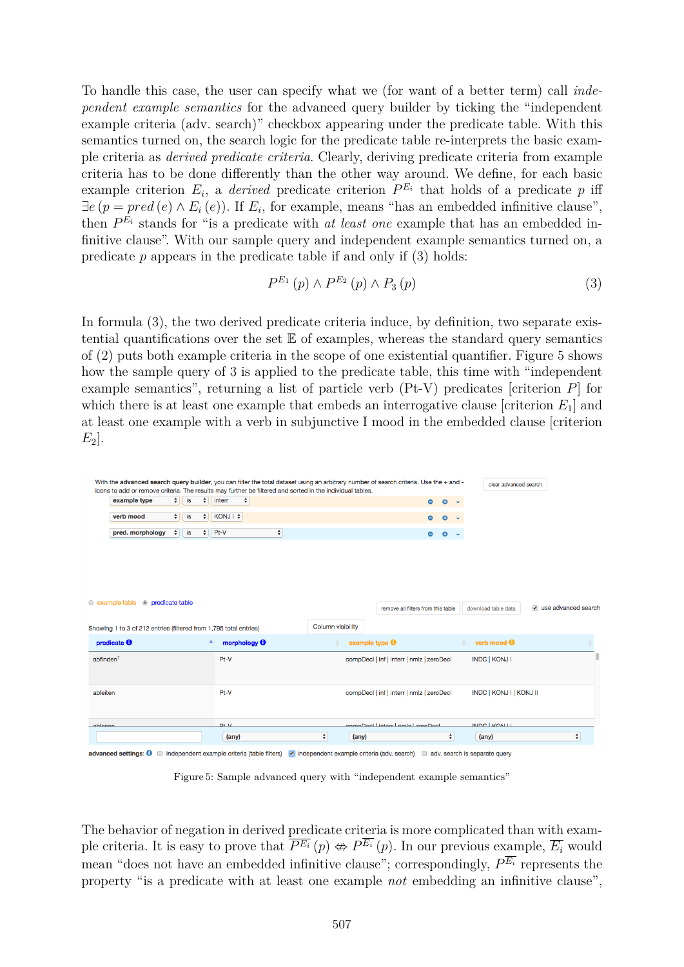To handle this case, the user can specify what we (for want of a better term) call *independent example semantics* for the advanced query builder by ticking the "independent example criteria (adv. search)" checkbox appearing under the predicate table. With this semantics turned on, the search logic for the predicate table re-interprets the basic example criteria as *derived predicate criteria*. Clearly, deriving predicate criteria from example criteria has to be done differently than the other way around. We define, for each basic example criterion  $E_i$ , a *derived* predicate criterion  $P^{E_i}$  that holds of a predicate p iff  $\exists e (p = pred(e) \land E_i(e))$ . If  $E_i$ , for example, means "has an embedded infinitive clause", then  $P^{E_i}$  stands for "is a predicate with *at least one* example that has an embedded infinitive clause". With our sample query and independent example semantics turned on, a predicate  $p$  appears in the predicate table if and only if  $(3)$  holds:

$$
P^{E_1}(p) \wedge P^{E_2}(p) \wedge P_3(p) \tag{3}
$$

In formula (3), the two derived predicate criteria induce, by definition, two separate existential quantifications over the set  $E$  of examples, whereas the standard query semantics of (2) puts both example criteria in the scope of one existential quantifier. Figure 5 shows how the sample query of 3 is applied to the predicate table, this time with "independent example semantics", returning a list of particle verb (Pt-V) predicates [criterion *P*] for which there is at least one example that embeds an interrogative clause [criterion *E*1] and at least one example with a verb in subjunctive I mood in the embedded clause [criterion *E*2].

| pred. morphology                                                                                     | $\frac{4}{7}$ is | $\div$ Pt-V                           | $\div$            | ۰                                         | $\bullet$<br>$\sim$ |                                |                       |
|------------------------------------------------------------------------------------------------------|------------------|---------------------------------------|-------------------|-------------------------------------------|---------------------|--------------------------------|-----------------------|
|                                                                                                      |                  |                                       |                   |                                           |                     |                                |                       |
| $\circledcirc$ example table $\circledcirc$ predicate table                                          |                  |                                       |                   |                                           |                     |                                |                       |
|                                                                                                      |                  |                                       | Column visibility | remove all filters from this table        |                     | download table data            | a use advanced search |
| Showing 1 to 3 of 212 entries (filtered from 1,795 total entries)<br>predicate $\boldsymbol{\Theta}$ |                  | Α<br>morphology $\boldsymbol{\Theta}$ |                   | example type $\boldsymbol{\Theta}$        |                     | verb mood <b>O</b>             |                       |
|                                                                                                      |                  | $Pt-V$                                |                   | compDecI   inf   interr   nmlz   zeroDecI |                     | <b>INDC   KONJ I</b>           |                       |
|                                                                                                      |                  | Pt-V                                  |                   | compDecI   inf   interr   nmlz   zeroDecI |                     | <b>INDC   KONJ I   KONJ II</b> |                       |
| $ab$ finden <sup>1</sup><br>ableiten<br>ghlocon                                                      |                  | $D+M$                                 |                   | compDool Linters Lambel zeroDool          |                     | INDC LICALLI                   |                       |

Figure 5: Sample advanced query with "independent example semantics"

The behavior of negation in derived predicate criteria is more complicated than with example criteria. It is easy to prove that  $\overline{PE_i}(p) \nleftrightarrow P^{\overline{E_i}}(p)$ . In our previous example,  $\overline{E_i}$  would mean "does not have an embedded infinitive clause"; correspondingly, *P <sup>E</sup><sup>i</sup>* represents the property "is a predicate with at least one example *not* embedding an infinitive clause",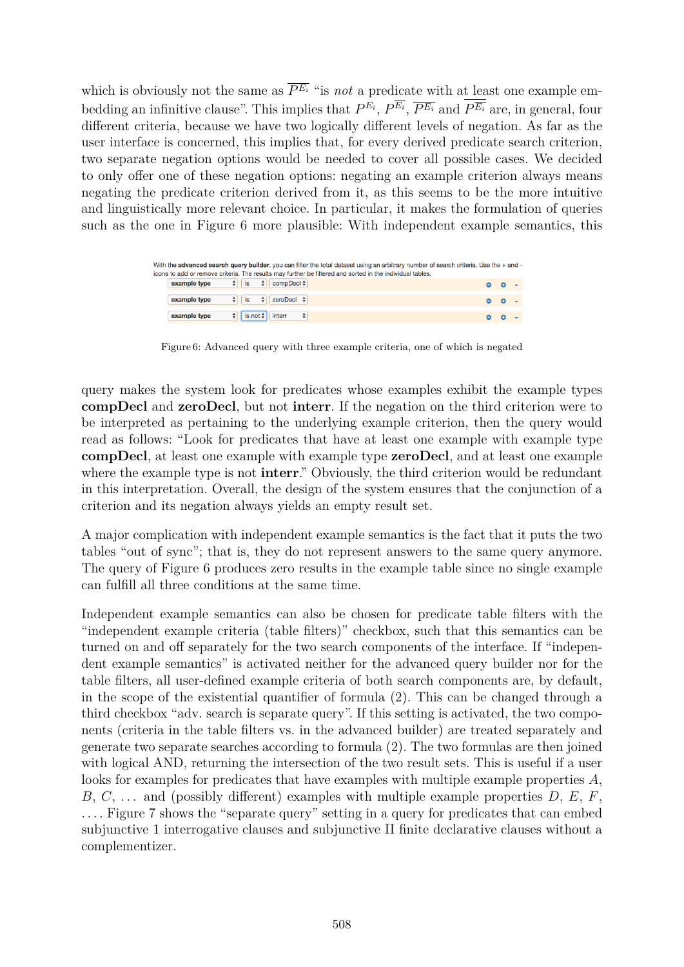which is obviously not the same as  $\overline{P^{E_i}}$  "is *not* a predicate with at least one example embedding an infinitive clause". This implies that  $P^{E_i}$ ,  $P^{E_i}$ ,  $\overline{P^{E_i}}$  and  $P^{\overline{E_i}}$  are, in general, four different criteria, because we have two logically different levels of negation. As far as the user interface is concerned, this implies that, for every derived predicate search criterion, two separate negation options would be needed to cover all possible cases. We decided to only offer one of these negation options: negating an example criterion always means negating the predicate criterion derived from it, as this seems to be the more intuitive and linguistically more relevant choice. In particular, it makes the formulation of queries such as the one in Figure 6 more plausible: With independent example semantics, this

| With the advanced search query builder, you can filter the total dataset using an arbitrary number of search criteria. Use the + and -<br>icons to add or remove criteria. The results may further be filtered and sorted in the individual tables. |  |  |
|-----------------------------------------------------------------------------------------------------------------------------------------------------------------------------------------------------------------------------------------------------|--|--|
| $\div$ is $\div$ compDeci $\div$<br>example type                                                                                                                                                                                                    |  |  |
| $\left  \text{is} \right $ $\left  \bullet \right $ zeroDecl $\left  \bullet \right $<br>example type                                                                                                                                               |  |  |
| is not $\div$ interr<br>example type<br>$\rightarrow$                                                                                                                                                                                               |  |  |

Figure 6: Advanced query with three example criteria, one of which is negated

query makes the system look for predicates whose examples exhibit the example types **compDecl** and **zeroDecl**, but not **interr**. If the negation on the third criterion were to be interpreted as pertaining to the underlying example criterion, then the query would read as follows: "Look for predicates that have at least one example with example type **compDecl**, at least one example with example type **zeroDecl**, and at least one example where the example type is not **interr**." Obviously, the third criterion would be redundant in this interpretation. Overall, the design of the system ensures that the conjunction of a criterion and its negation always yields an empty result set.

A major complication with independent example semantics is the fact that it puts the two tables "out of sync"; that is, they do not represent answers to the same query anymore. The query of Figure 6 produces zero results in the example table since no single example can fulfill all three conditions at the same time.

Independent example semantics can also be chosen for predicate table filters with the "independent example criteria (table filters)" checkbox, such that this semantics can be turned on and off separately for the two search components of the interface. If "independent example semantics" is activated neither for the advanced query builder nor for the table filters, all user-defined example criteria of both search components are, by default, in the scope of the existential quantifier of formula (2). This can be changed through a third checkbox "adv. search is separate query". If this setting is activated, the two components (criteria in the table filters vs. in the advanced builder) are treated separately and generate two separate searches according to formula (2). The two formulas are then joined with logical AND, returning the intersection of the two result sets. This is useful if a user looks for examples for predicates that have examples with multiple example properties *A*, *B*, *C*, . . . and (possibly different) examples with multiple example properties *D*, *E*, *F*, . . . . Figure 7 shows the "separate query" setting in a query for predicates that can embed subjunctive 1 interrogative clauses and subjunctive II finite declarative clauses without a complementizer.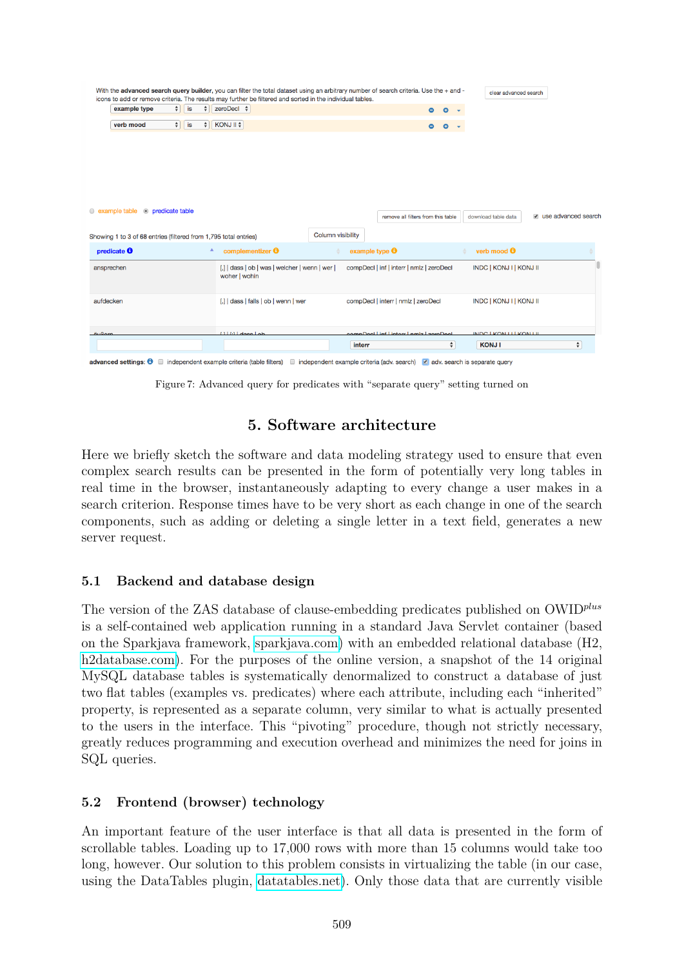| $B_1$ $B_2$                                                      |                   | $11161$ does Lob                                                |                          |                                    | anna Dool Linf Lintors Lambs Laco Dool    | $\hat{\mathbf{z}}$ | INDC LKONTI LKONTIL            | $\div$                |
|------------------------------------------------------------------|-------------------|-----------------------------------------------------------------|--------------------------|------------------------------------|-------------------------------------------|--------------------|--------------------------------|-----------------------|
| aufdecken                                                        |                   | [,]   dass   falls   ob   wenn   wer                            |                          |                                    | compDecl   interr   nmlz   zeroDecl       |                    | <b>INDC   KONJ I   KONJ II</b> |                       |
| ansprechen                                                       |                   | [,]   dass   ob   was   welcher   wenn   wer  <br>woher   wohin |                          |                                    | compDecI   inf   interr   nmlz   zeroDecI |                    | INDC   KONJ I   KONJ II        |                       |
| predicate $\boldsymbol{\Theta}$                                  | ٨                 | complementizer <b>O</b>                                         |                          | example type $\boldsymbol{\Theta}$ |                                           |                    | verb mood <b>O</b>             |                       |
| Showing 1 to 3 of 68 entries (filtered from 1,795 total entries) |                   |                                                                 | <b>Column visibility</b> |                                    |                                           |                    |                                |                       |
| • example table • predicate table                                |                   |                                                                 |                          |                                    | remove all filters from this table        |                    | download table data            | a use advanced search |
|                                                                  |                   |                                                                 |                          |                                    |                                           |                    |                                |                       |
| verb mood                                                        | $\div$<br>is<br>÷ | KONJ II \$                                                      |                          |                                    | ۰                                         | $\bullet$          |                                |                       |
| example type                                                     | $\div$<br>is<br>÷ | zeroDecl $\div$                                                 |                          |                                    | $\bullet$                                 | $\circ$            |                                |                       |
|                                                                  |                   |                                                                 |                          |                                    |                                           |                    |                                |                       |

independent example criteria (table filters) independent example criteria (adv. search) v adv. search is separate query

Figure 7: Advanced query for predicates with "separate query" setting turned on

# **5. Software architecture**

Here we briefly sketch the software and data modeling strategy used to ensure that even complex search results can be presented in the form of potentially very long tables in real time in the browser, instantaneously adapting to every change a user makes in a search criterion. Response times have to be very short as each change in one of the search components, such as adding or deleting a single letter in a text field, generates a new server request.

### **5.1 Backend and database design**

The version of the ZAS database of clause-embedding predicates published on OWID*plus* is a self-contained web application running in a standard Java Servlet container (based on the Sparkjava framework, [sparkjava.com\)](sparkjava.com) with an embedded relational database (H2, h<sub>2database.com</sub>). For the purposes of the online version, a snapshot of the 14 original MySQL database tables is systematically denormalized to construct a database of just two flat tables (examples vs. predicates) where each attribute, including each "inherited" property, is represented as a separate column, very similar to what is actually presented to the users in the interface. This "pivoting" procedure, though not strictly necessary, greatly reduces programming and execution overhead and minimizes the need for joins in SQL queries.

### **5.2 Frontend (browser) technology**

An important feature of the user interface is that all data is presented in the form of scrollable tables. Loading up to 17,000 rows with more than 15 columns would take too long, however. Our solution to this problem consists in virtualizing the table (in our case, using the DataTables plugin, [datatables.net\)](datatables.net). Only those data that are currently visible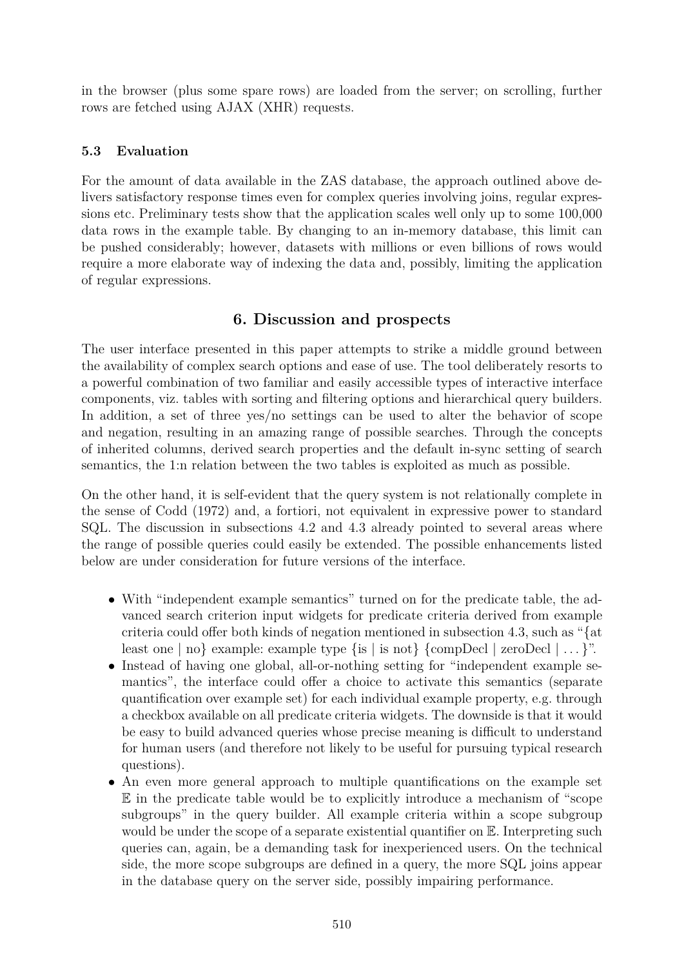in the browser (plus some spare rows) are loaded from the server; on scrolling, further rows are fetched using AJAX (XHR) requests.

## **5.3 Evaluation**

For the amount of data available in the ZAS database, the approach outlined above delivers satisfactory response times even for complex queries involving joins, regular expressions etc. Preliminary tests show that the application scales well only up to some 100,000 data rows in the example table. By changing to an in-memory database, this limit can be pushed considerably; however, datasets with millions or even billions of rows would require a more elaborate way of indexing the data and, possibly, limiting the application of regular expressions.

# **6. Discussion and prospects**

The user interface presented in this paper attempts to strike a middle ground between the availability of complex search options and ease of use. The tool deliberately resorts to a powerful combination of two familiar and easily accessible types of interactive interface components, viz. tables with sorting and filtering options and hierarchical query builders. In addition, a set of three yes/no settings can be used to alter the behavior of scope and negation, resulting in an amazing range of possible searches. Through the concepts of inherited columns, derived search properties and the default in-sync setting of search semantics, the 1:n relation between the two tables is exploited as much as possible.

On the other hand, it is self-evident that the query system is not relationally complete in the sense of Codd (1972) and, a fortiori, not equivalent in expressive power to standard SQL. The discussion in subsections 4.2 and 4.3 already pointed to several areas where the range of possible queries could easily be extended. The possible enhancements listed below are under consideration for future versions of the interface.

- With "independent example semantics" turned on for the predicate table, the advanced search criterion input widgets for predicate criteria derived from example criteria could offer both kinds of negation mentioned in subsection 4.3, such as "{at least one  $|$  no  $\}$  example: example type  $\{is \mid is not\} \{compDecl \mid zeroDecl \mid \ldots\}$ ".
- Instead of having one global, all-or-nothing setting for "independent example semantics", the interface could offer a choice to activate this semantics (separate quantification over example set) for each individual example property, e.g. through a checkbox available on all predicate criteria widgets. The downside is that it would be easy to build advanced queries whose precise meaning is difficult to understand for human users (and therefore not likely to be useful for pursuing typical research questions).
- An even more general approach to multiple quantifications on the example set E in the predicate table would be to explicitly introduce a mechanism of "scope subgroups" in the query builder. All example criteria within a scope subgroup would be under the scope of a separate existential quantifier on  $\mathbb E$ . Interpreting such queries can, again, be a demanding task for inexperienced users. On the technical side, the more scope subgroups are defined in a query, the more SQL joins appear in the database query on the server side, possibly impairing performance.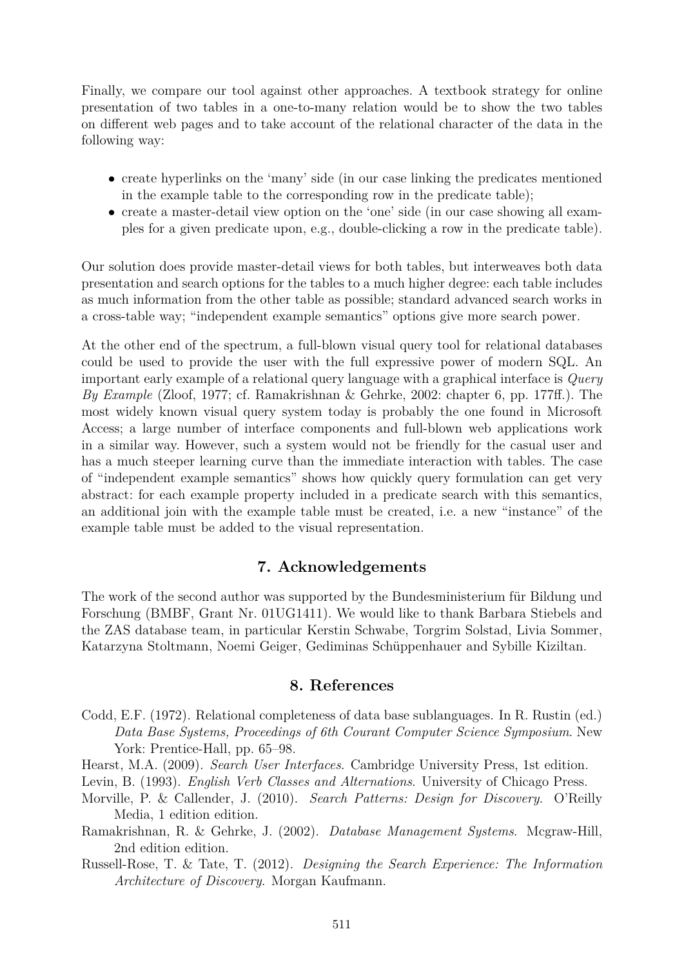Finally, we compare our tool against other approaches. A textbook strategy for online presentation of two tables in a one-to-many relation would be to show the two tables on different web pages and to take account of the relational character of the data in the following way:

- create hyperlinks on the 'many' side (in our case linking the predicates mentioned in the example table to the corresponding row in the predicate table);
- create a master-detail view option on the 'one' side (in our case showing all examples for a given predicate upon, e.g., double-clicking a row in the predicate table).

Our solution does provide master-detail views for both tables, but interweaves both data presentation and search options for the tables to a much higher degree: each table includes as much information from the other table as possible; standard advanced search works in a cross-table way; "independent example semantics" options give more search power.

At the other end of the spectrum, a full-blown visual query tool for relational databases could be used to provide the user with the full expressive power of modern SQL. An important early example of a relational query language with a graphical interface is *Query By Example* (Zloof, 1977; cf. Ramakrishnan & Gehrke, 2002: chapter 6, pp. 177ff.). The most widely known visual query system today is probably the one found in Microsoft Access; a large number of interface components and full-blown web applications work in a similar way. However, such a system would not be friendly for the casual user and has a much steeper learning curve than the immediate interaction with tables. The case of "independent example semantics" shows how quickly query formulation can get very abstract: for each example property included in a predicate search with this semantics, an additional join with the example table must be created, i.e. a new "instance" of the example table must be added to the visual representation.

#### **7. Acknowledgements**

The work of the second author was supported by the Bundesministerium für Bildung und Forschung (BMBF, Grant Nr. 01UG1411). We would like to thank Barbara Stiebels and the ZAS database team, in particular Kerstin Schwabe, Torgrim Solstad, Livia Sommer, Katarzyna Stoltmann, Noemi Geiger, Gediminas Schüppenhauer and Sybille Kiziltan.

#### **8. References**

- Codd, E.F. (1972). Relational completeness of data base sublanguages. In R. Rustin (ed.) *Data Base Systems, Proceedings of 6th Courant Computer Science Symposium*. New York: Prentice-Hall, pp. 65–98.
- Hearst, M.A. (2009). *Search User Interfaces*. Cambridge University Press, 1st edition.

Levin, B. (1993). *English Verb Classes and Alternations*. University of Chicago Press.

- Morville, P. & Callender, J. (2010). *Search Patterns: Design for Discovery*. O'Reilly Media, 1 edition edition.
- Ramakrishnan, R. & Gehrke, J. (2002). *Database Management Systems*. Mcgraw-Hill, 2nd edition edition.
- Russell-Rose, T. & Tate, T. (2012). *Designing the Search Experience: The Information Architecture of Discovery*. Morgan Kaufmann.